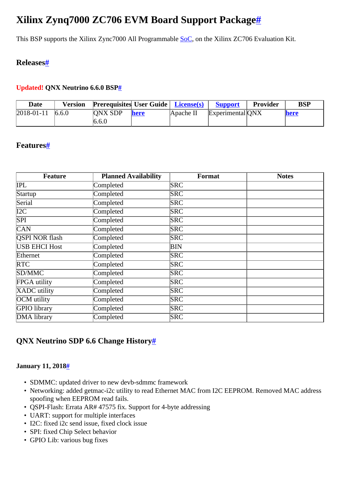# <span id="page-0-0"></span>**Xilinx Zynq7000 ZC706 EVM Board Support Packag[e#](#page-0-0)**

This BSP supports the Xilinx Zync7000 All Programmable [SoC](http://community.qnx.com/sf/wiki/do/createPage/projects.bsp/wiki?pageName=SoC&referrerPageName=XilinxZc706), on the Xilinx ZC706 Evaluation Kit.

## <span id="page-0-1"></span>**Release[s#](#page-0-1)**

### <span id="page-0-2"></span>**Updated! QNX Neutrino 6.6.0 BS[P#](#page-0-2)**

| <b>Date</b> | <b>Version</b> | <b>Prerequisites User Guide   License(s)</b> |             |           | <b>Support</b>   | Provider | <b>BSP</b> |
|-------------|----------------|----------------------------------------------|-------------|-----------|------------------|----------|------------|
| 2018-01-11  | 6.6.0          | <b>ONX SDP</b><br>6.6.0                      | <b>here</b> | Apache II | Experimental ONX |          | here       |

## <span id="page-0-3"></span>**Features[#](#page-0-3)**

| <b>Feature</b>        | <b>Planned Availability</b> | Format     | <b>Notes</b> |
|-----------------------|-----------------------------|------------|--------------|
| IPL                   | Completed                   | <b>SRC</b> |              |
| Startup               | Completed                   | <b>SRC</b> |              |
| Serial                | Completed                   | <b>SRC</b> |              |
| I2C                   | Completed                   | <b>SRC</b> |              |
| <b>SPI</b>            | Completed                   | <b>SRC</b> |              |
| <b>CAN</b>            | Completed                   | <b>SRC</b> |              |
| <b>QSPI NOR flash</b> | Completed                   | <b>SRC</b> |              |
| <b>USB EHCI Host</b>  | Completed                   | BIN        |              |
| Ethernet              | Completed                   | <b>SRC</b> |              |
| <b>RTC</b>            | Completed                   | SRC        |              |
| SD/MMC                | Completed                   | <b>SRC</b> |              |
| FPGA utility          | Completed                   | <b>SRC</b> |              |
| XADC utility          | Completed                   | <b>SRC</b> |              |
| OCM utility           | Completed                   | <b>SRC</b> |              |
| GPIO library          | Completed                   | <b>SRC</b> |              |
| DMA library           | Completed                   | <b>SRC</b> |              |

## <span id="page-0-4"></span>**QNX Neutrino SDP 6.6 Change Histor[y#](#page-0-4)**

#### <span id="page-0-5"></span>**January 11, 201[8#](#page-0-5)**

- SDMMC: updated driver to new devb-sdmmc framework
- Networking: added getmac-i2c utility to read Ethernet MAC from I2C EEPROM. Removed MAC address spoofing when EEPROM read fails.
- QSPI-Flash: Errata AR# 47575 fix. Support for 4-byte addressing
- UART: support for multiple interfaces
- I2C: fixed i2c send issue, fixed clock issue
- SPI: fixed Chip Select behavior
- GPIO Lib: various bug fixes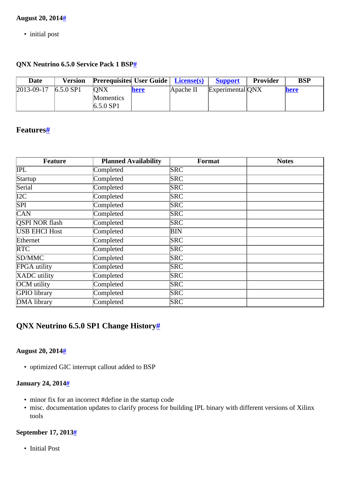#### <span id="page-1-0"></span>**August 20, 201[4#](#page-1-0)**

• initial post

#### <span id="page-1-1"></span>**QNX Neutrino 6.5.0 Service Pack 1 BSP[#](#page-1-1)**

| <b>Date</b>      | Version     | <b>Prerequisites User Guide   License(s)</b> |      |           | <b>Support</b>   | <b>Provider</b> | <b>BSP</b> |
|------------------|-------------|----------------------------------------------|------|-----------|------------------|-----------------|------------|
| $2013 - 09 - 17$ | $6.5.0$ SP1 | <b>ONX</b><br>Momentics<br>$6.5.0$ SP1       | here | Apache II | Experimental ONX |                 | here       |

## <span id="page-1-2"></span>**Features[#](#page-1-2)**

| <b>Feature</b>        | <b>Planned Availability</b> | Format     | <b>Notes</b> |
|-----------------------|-----------------------------|------------|--------------|
| IPL                   | Completed                   | <b>SRC</b> |              |
| Startup               | Completed                   | <b>SRC</b> |              |
| Serial                | Completed                   | <b>SRC</b> |              |
| I2C                   | Completed                   | <b>SRC</b> |              |
| SPI                   | Completed                   | <b>SRC</b> |              |
| <b>CAN</b>            | Completed                   | <b>SRC</b> |              |
| <b>QSPI NOR flash</b> | Completed                   | <b>SRC</b> |              |
| <b>USB EHCI Host</b>  | Completed                   | BIN        |              |
| Ethernet              | Completed                   | <b>SRC</b> |              |
| <b>RTC</b>            | Completed                   | <b>SRC</b> |              |
| SD/MMC                | Completed                   | <b>SRC</b> |              |
| FPGA utility          | Completed                   | <b>SRC</b> |              |
| XADC utility          | Completed                   | <b>SRC</b> |              |
| OCM utility           | Completed                   | <b>SRC</b> |              |
| GPIO library          | Completed                   | <b>SRC</b> |              |
| DMA library           | Completed                   | <b>SRC</b> |              |

## <span id="page-1-3"></span>**QNX Neutrino 6.5.0 SP1 Change History[#](#page-1-3)**

#### <span id="page-1-4"></span>**August 20, 201[4#](#page-1-4)**

• optimized GIC interrupt callout added to BSP

#### <span id="page-1-5"></span>**January 24, 201[4#](#page-1-5)**

- minor fix for an incorrect #define in the startup code
- misc. documentation updates to clarify process for building IPL binary with different versions of Xilinx tools

#### <span id="page-1-6"></span>**September 17, 2013[#](#page-1-6)**

• Initial Post